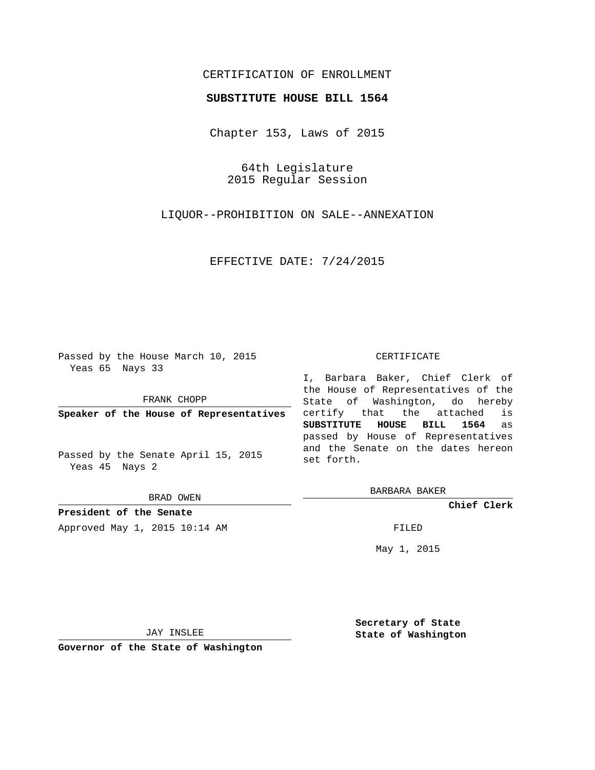## CERTIFICATION OF ENROLLMENT

## **SUBSTITUTE HOUSE BILL 1564**

Chapter 153, Laws of 2015

64th Legislature 2015 Regular Session

LIQUOR--PROHIBITION ON SALE--ANNEXATION

EFFECTIVE DATE: 7/24/2015

Passed by the House March 10, 2015 Yeas 65 Nays 33

FRANK CHOPP

**Speaker of the House of Representatives**

Passed by the Senate April 15, 2015 Yeas 45 Nays 2

BRAD OWEN

**President of the Senate** Approved May 1, 2015 10:14 AM FILED

## CERTIFICATE

I, Barbara Baker, Chief Clerk of the House of Representatives of the State of Washington, do hereby certify that the attached is **SUBSTITUTE HOUSE BILL 1564** as passed by House of Representatives and the Senate on the dates hereon set forth.

BARBARA BAKER

**Chief Clerk**

May 1, 2015

JAY INSLEE

**Governor of the State of Washington**

**Secretary of State State of Washington**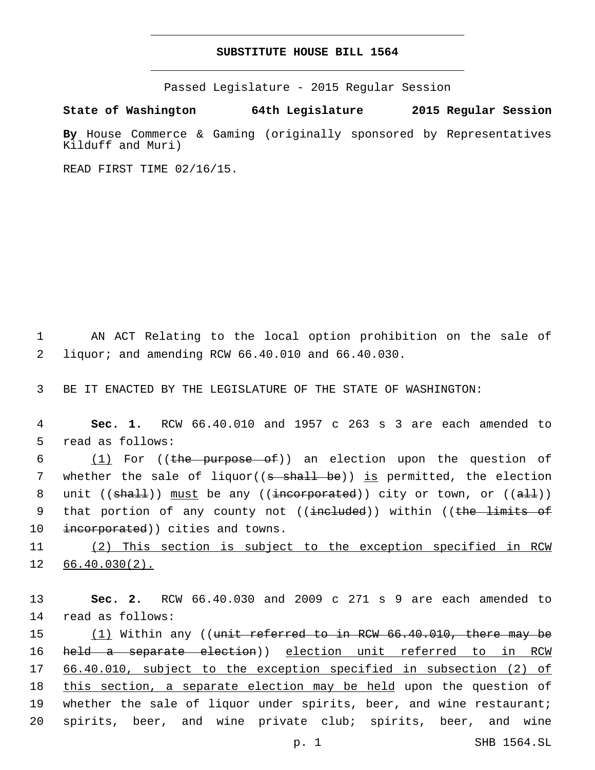## **SUBSTITUTE HOUSE BILL 1564**

Passed Legislature - 2015 Regular Session

**State of Washington 64th Legislature 2015 Regular Session**

**By** House Commerce & Gaming (originally sponsored by Representatives Kilduff and Muri)

READ FIRST TIME 02/16/15.

1 AN ACT Relating to the local option prohibition on the sale of liquor; and amending RCW 66.40.010 and 66.40.030.2

3 BE IT ENACTED BY THE LEGISLATURE OF THE STATE OF WASHINGTON:

4 **Sec. 1.** RCW 66.40.010 and 1957 c 263 s 3 are each amended to 5 read as follows:

6 (1) For ((the purpose of)) an election upon the question of 7 whether the sale of liquor( $(s - shall - be)$ ) is permitted, the election 8 unit ((shall)) must be any ((incorporated)) city or town, or ((all)) 9 that portion of any county not ((ineluded)) within ((the limits of 10 incorporated)) cities and towns.

11 (2) This section is subject to the exception specified in RCW 12 66.40.030(2).

13 **Sec. 2.** RCW 66.40.030 and 2009 c 271 s 9 are each amended to 14 read as follows:

15  $(1)$  Within any ((<del>unit referred to in RCW 66.40.010, there may be</del> 16 held a separate election)) election unit referred to in RCW 17 66.40.010, subject to the exception specified in subsection (2) of 18 this section, a separate election may be held upon the question of 19 whether the sale of liquor under spirits, beer, and wine restaurant; 20 spirits, beer, and wine private club; spirits, beer, and wine